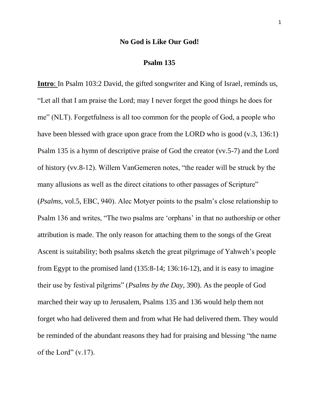### **No God is Like Our God!**

## **Psalm 135**

**Intro**: In Psalm 103:2 David, the gifted songwriter and King of Israel, reminds us, "Let all that I am praise the Lord; may I never forget the good things he does for me" (NLT). Forgetfulness is all too common for the people of God, a people who have been blessed with grace upon grace from the LORD who is good (v.3, 136:1) Psalm 135 is a hymn of descriptive praise of God the creator (vv.5-7) and the Lord of history (vv.8-12). Willem VanGemeren notes, "the reader will be struck by the many allusions as well as the direct citations to other passages of Scripture" (*Psalms*, vol.5, EBC, 940). Alec Motyer points to the psalm's close relationship to Psalm 136 and writes, "The two psalms are 'orphans' in that no authorship or other attribution is made. The only reason for attaching them to the songs of the Great Ascent is suitability; both psalms sketch the great pilgrimage of Yahweh's people from Egypt to the promised land (135:8-14; 136:16-12), and it is easy to imagine their use by festival pilgrims" (*Psalms by the Day*, 390). As the people of God marched their way up to Jerusalem, Psalms 135 and 136 would help them not forget who had delivered them and from what He had delivered them. They would be reminded of the abundant reasons they had for praising and blessing "the name of the Lord"  $(v.17)$ .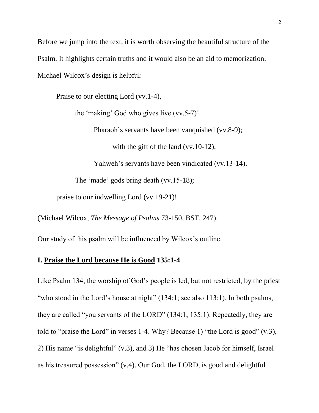Before we jump into the text, it is worth observing the beautiful structure of the Psalm. It highlights certain truths and it would also be an aid to memorization. Michael Wilcox's design is helpful:

Praise to our electing Lord (vv.1-4),

the 'making' God who gives live (vv.5-7)!

Pharaoh's servants have been vanquished (vv.8-9);

with the gift of the land (vv.10-12),

Yahweh's servants have been vindicated (vv.13-14).

The 'made' gods bring death (vv.15-18);

praise to our indwelling Lord (vv.19-21)!

(Michael Wilcox, *The Message of Psalms* 73-150, BST, 247).

Our study of this psalm will be influenced by Wilcox's outline.

# **I. Praise the Lord because He is Good 135:1-4**

Like Psalm 134, the worship of God's people is led, but not restricted, by the priest "who stood in the Lord's house at night" (134:1; see also 113:1). In both psalms, they are called "you servants of the LORD" (134:1; 135:1). Repeatedly, they are told to "praise the Lord" in verses 1-4. Why? Because 1) "the Lord is good" (v.3), 2) His name "is delightful" (v.3), and 3) He "has chosen Jacob for himself, Israel as his treasured possession" (v.4). Our God, the LORD, is good and delightful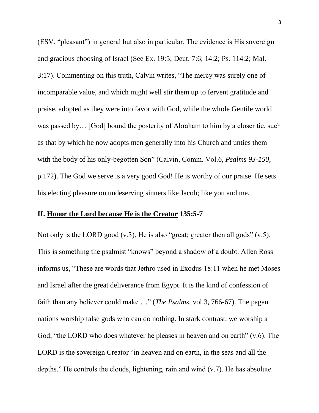(ESV, "pleasant") in general but also in particular. The evidence is His sovereign and gracious choosing of Israel (See Ex. 19:5; Deut. 7:6; 14:2; Ps. 114:2; Mal. 3:17). Commenting on this truth, Calvin writes, "The mercy was surely one of incomparable value, and which might well stir them up to fervent gratitude and praise, adopted as they were into favor with God, while the whole Gentile world was passed by… [God] bound the posterity of Abraham to him by a closer tie, such as that by which he now adopts men generally into his Church and unties them with the body of his only-begotten Son" (Calvin, Comm. Vol.6, *Psalms 93-150*, p.172). The God we serve is a very good God! He is worthy of our praise. He sets his electing pleasure on undeserving sinners like Jacob; like you and me.

## **II. Honor the Lord because He is the Creator 135:5-7**

Not only is the LORD good  $(v.3)$ , He is also "great; greater then all gods"  $(v.5)$ . This is something the psalmist "knows" beyond a shadow of a doubt. Allen Ross informs us, "These are words that Jethro used in Exodus 18:11 when he met Moses and Israel after the great deliverance from Egypt. It is the kind of confession of faith than any believer could make …" (*The Psalms*, vol.3, 766-67). The pagan nations worship false gods who can do nothing. In stark contrast, we worship a God, "the LORD who does whatever he pleases in heaven and on earth" (v.6). The LORD is the sovereign Creator "in heaven and on earth, in the seas and all the depths." He controls the clouds, lightening, rain and wind (v.7). He has absolute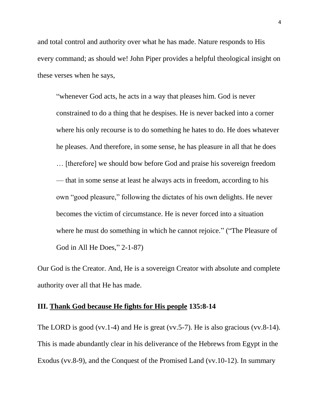and total control and authority over what he has made. Nature responds to His every command; as should we! John Piper provides a helpful theological insight on these verses when he says,

"whenever God acts, he acts in a way that pleases him. God is never constrained to do a thing that he despises. He is never backed into a corner where his only recourse is to do something he hates to do. He does whatever he pleases. And therefore, in some sense, he has pleasure in all that he does … [therefore] we should bow before God and praise his sovereign freedom — that in some sense at least he always acts in freedom, according to his own "good pleasure," following the dictates of his own delights. He never becomes the victim of circumstance. He is never forced into a situation where he must do something in which he cannot rejoice." ("The Pleasure of God in All He Does," 2-1-87)

Our God is the Creator. And, He is a sovereign Creator with absolute and complete authority over all that He has made.

### **III. Thank God because He fights for His people 135:8-14**

The LORD is good (vv.1-4) and He is great (vv.5-7). He is also gracious (vv.8-14). This is made abundantly clear in his deliverance of the Hebrews from Egypt in the Exodus (vv.8-9), and the Conquest of the Promised Land (vv.10-12). In summary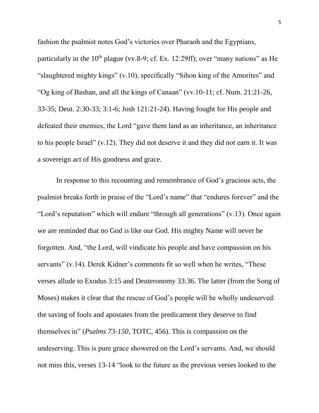fashion the psalmist notes God's victories over Pharaoh and the Egyptians,

particularly in the  $10^{th}$  plague (vv. 8-9; cf. Ex. 12:29ff); over "many nations" as He "slaughtered mighty kings" (v.10), specifically "Sihon king of the Amorites" and "Og king of Bashan, and all the kings of Canaan" (vv.10-11; cf. Num. 21:21-26, 33-35; Deut. 2:30-33; 3:1-6; Josh 121:21-24). Having fought for His people and defeated their enemies, the Lord "gave them land as an inheritance, an inheritance to his people Israel" (v.12). They did not deserve it and they did not earn it. It was a sovereign act of His goodness and grace.

In response to this recounting and remembrance of God's gracious acts, the psalmist breaks forth in praise of the "Lord's name" that "endures forever" and the "Lord's reputation" which will endure "through all generations" (v.13). Once again we are reminded that no God is like our God. His mighty Name will never be forgotten. And, "the Lord, will vindicate his people and have compassion on his servants" (v.14). Derek Kidner's comments fit so well when he writes, "These verses allude to Exodus 3:15 and Deuteronomy 33:36. The latter (from the Song of Moses) makes it clear that the rescue of God's people will be wholly undeserved: the saving of fools and apostates from the predicament they deserve to find themselves in" (*Psalms 73-150*, TOTC, 456). This is compassion on the undeserving. This is pure grace showered on the Lord's servants. And, we should not miss this, verses 13-14 "look to the future as the previous verses looked to the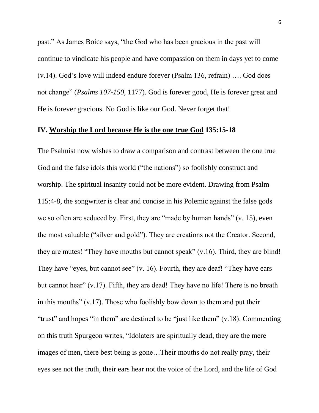past." As James Boice says, "the God who has been gracious in the past will continue to vindicate his people and have compassion on them in days yet to come (v.14). God's love will indeed endure forever (Psalm 136, refrain) …. God does not change" (*Psalms 107-150*, 1177). God is forever good, He is forever great and He is forever gracious. No God is like our God. Never forget that!

# **IV. Worship the Lord because He is the one true God 135:15-18**

The Psalmist now wishes to draw a comparison and contrast between the one true God and the false idols this world ("the nations") so foolishly construct and worship. The spiritual insanity could not be more evident. Drawing from Psalm 115:4-8, the songwriter is clear and concise in his Polemic against the false gods we so often are seduced by. First, they are "made by human hands" (v. 15), even the most valuable ("silver and gold"). They are creations not the Creator. Second, they are mutes! "They have mouths but cannot speak" (v.16). Third, they are blind! They have "eyes, but cannot see" (v. 16). Fourth, they are deaf! "They have ears but cannot hear" (v.17). Fifth, they are dead! They have no life! There is no breath in this mouths" (v.17). Those who foolishly bow down to them and put their "trust" and hopes "in them" are destined to be "just like them" (v.18). Commenting on this truth Spurgeon writes, "Idolaters are spiritually dead, they are the mere images of men, there best being is gone…Their mouths do not really pray, their eyes see not the truth, their ears hear not the voice of the Lord, and the life of God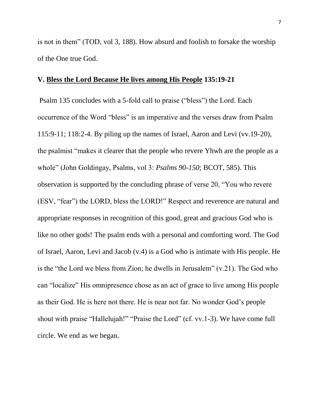is not in them" (TOD, vol 3, 188). How absurd and foolish to forsake the worship of the One true God.

#### **V. Bless the Lord Because He lives among His People 135:19-21**

Psalm 135 concludes with a 5-fold call to praise ("bless") the Lord. Each occurrence of the Word "bless" is an imperative and the verses draw from Psalm 115:9-11; 118:2-4. By piling up the names of Israel, Aaron and Levi (vv.19-20), the psalmist "makes it clearer that the people who revere Yhwh are the people as a whole" (John Goldingay, Psalms, vol 3: *Psalms 90-150*; BCOT, 585). This observation is supported by the concluding phrase of verse 20, "You who revere (ESV, "fear") the LORD, bless the LORD!" Respect and reverence are natural and appropriate responses in recognition of this good, great and gracious God who is like no other gods! The psalm ends with a personal and comforting word. The God of Israel, Aaron, Levi and Jacob (v.4) is a God who is intimate with His people. He is the "the Lord we bless from Zion; he dwells in Jerusalem" (v.21). The God who can "localize" His omnipresence chose as an act of grace to live among His people as their God. He is here not there. He is near not far. No wonder God's people shout with praise "Hallelujah!" "Praise the Lord" (cf. vv.1-3). We have come full circle. We end as we began.